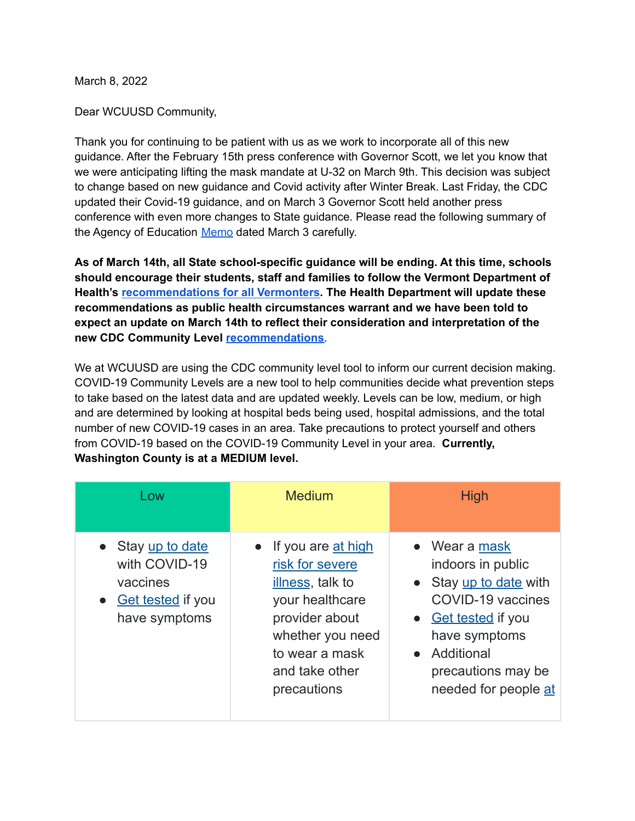March 8, 2022

Dear WCUUSD Community,

Thank you for continuing to be patient with us as we work to incorporate all of this new guidance. After the February 15th press conference with Governor Scott, we let you know that we were anticipating lifting the mask mandate at U-32 on March 9th. This decision was subject to change based on new guidance and Covid activity after Winter Break. Last Friday, the CDC updated their Covid-19 guidance, and on March 3 Governor Scott held another press conference with even more changes to State guidance. Please read the following summary of the Agency of Education [Memo](https://education.vermont.gov/sites/aoe/files/documents/edu-memo-french-updated-covid19-recommendations-and-considerations.pdf) dated March 3 carefully.

**As of March 14th, all State school-specific guidance will be ending. At this time, schools should encourage their students, staff and families to follow the Vermont Department of Health's [recommendations](https://www.healthvermont.gov/covid-19/protect-yourself-others) for all Vermonters. The Health Department will update these recommendations as public health circumstances warrant and we have been told to expect an update on March 14th to reflect their consideration and interpretation of the new CDC Community Level [recommendations](https://www.cdc.gov/coronavirus/2019-ncov/your-health/covid-by-county.html)**.

We at WCUUSD are using the CDC community level tool to inform our current decision making. COVID-19 Community Levels are a new tool to help communities decide what prevention steps to take based on the latest data and are updated weekly. Levels can be low, medium, or high and are determined by looking at hospital beds being used, hospital admissions, and the total number of new COVID-19 cases in an area. Take precautions to protect yourself and others from COVID-19 based on the COVID-19 Community Level in your area. **Currently, Washington County is at a MEDIUM level.**

| Low                                                                                         | <b>Medium</b>                                                                                                                                                         | <b>High</b>                                                                                                                                                                             |
|---------------------------------------------------------------------------------------------|-----------------------------------------------------------------------------------------------------------------------------------------------------------------------|-----------------------------------------------------------------------------------------------------------------------------------------------------------------------------------------|
| • Stay up to date<br>with COVID-19<br>vaccines<br><b>Get tested if you</b><br>have symptoms | If you are at high<br>risk for severe<br>illness, talk to<br>your healthcare<br>provider about<br>whether you need<br>to wear a mask<br>and take other<br>precautions | • Wear a mask<br>indoors in public<br>• Stay up to date with<br>COVID-19 vaccines<br>• Get tested if you<br>have symptoms<br>• Additional<br>precautions may be<br>needed for people at |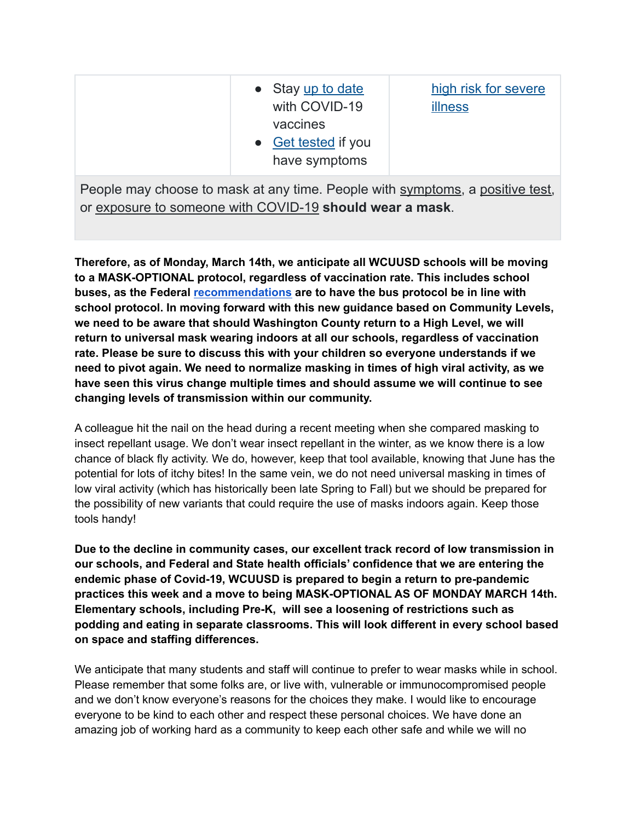|--|

People may choose to mask at any time. People with symptoms, a positive test, or exposure to someone with COVID-19 **should wear a mask**.

**Therefore, as of Monday, March 14th, we anticipate all WCUUSD schools will be moving to a MASK-OPTIONAL protocol, regardless of vaccination rate. This includes school buses, as the Federal [recommendations](https://www.cdc.gov/quarantine/masks/mask-travel-guidance.html) are to have the bus protocol be in line with school protocol. In moving forward with this new guidance based on Community Levels, we need to be aware that should Washington County return to a High Level, we will return to universal mask wearing indoors at all our schools, regardless of vaccination rate. Please be sure to discuss this with your children so everyone understands if we need to pivot again. We need to normalize masking in times of high viral activity, as we have seen this virus change multiple times and should assume we will continue to see changing levels of transmission within our community.**

A colleague hit the nail on the head during a recent meeting when she compared masking to insect repellant usage. We don't wear insect repellant in the winter, as we know there is a low chance of black fly activity. We do, however, keep that tool available, knowing that June has the potential for lots of itchy bites! In the same vein, we do not need universal masking in times of low viral activity (which has historically been late Spring to Fall) but we should be prepared for the possibility of new variants that could require the use of masks indoors again. Keep those tools handy!

**Due to the decline in community cases, our excellent track record of low transmission in our schools, and Federal and State health officials' confidence that we are entering the endemic phase of Covid-19, WCUUSD is prepared to begin a return to pre-pandemic practices this week and a move to being MASK-OPTIONAL AS OF MONDAY MARCH 14th. Elementary schools, including Pre-K, will see a loosening of restrictions such as podding and eating in separate classrooms. This will look different in every school based on space and staffing differences.**

We anticipate that many students and staff will continue to prefer to wear masks while in school. Please remember that some folks are, or live with, vulnerable or immunocompromised people and we don't know everyone's reasons for the choices they make. I would like to encourage everyone to be kind to each other and respect these personal choices. We have done an amazing job of working hard as a community to keep each other safe and while we will no